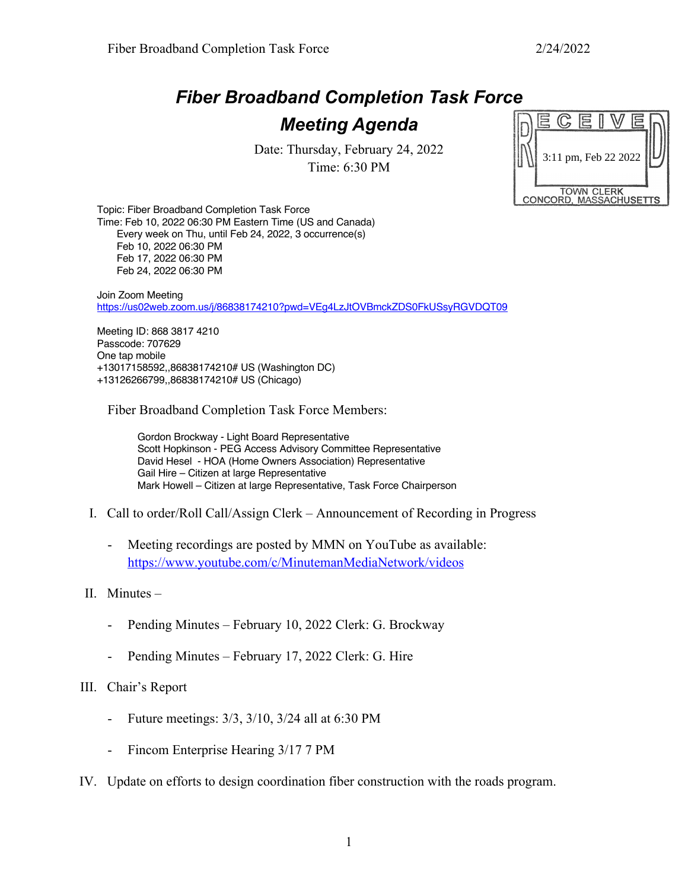## *Fiber Broadband Completion Task Force*

## *Meeting Agenda*

Date: Thursday, February 24, 2022 Time: 6:30 PM

|                        |  |  | 3:11 pm, Feb 22 2022 |  |  |  |  |
|------------------------|--|--|----------------------|--|--|--|--|
| <b>TOWN CLERK</b>      |  |  |                      |  |  |  |  |
| CONCORD, MASSACHUSETTS |  |  |                      |  |  |  |  |

Topic: Fiber Broadband Completion Task Force Time: Feb 10, 2022 06:30 PM Eastern Time (US and Canada) Every week on Thu, until Feb 24, 2022, 3 occurrence(s) Feb 10, 2022 06:30 PM Feb 17, 2022 06:30 PM Feb 24, 2022 06:30 PM

Join Zoom Meeting https://us02web.zoom.us/j/86838174210?pwd=VEg4LzJtOVBmckZDS0FkUSsyRGVDQT09

Meeting ID: 868 3817 4210 Passcode: 707629 One tap mobile +13017158592,,86838174210# US (Washington DC) +13126266799,,86838174210# US (Chicago)

Fiber Broadband Completion Task Force Members:

Gordon Brockway - Light Board Representative Scott Hopkinson - PEG Access Advisory Committee Representative David Hesel - HOA (Home Owners Association) Representative Gail Hire – Citizen at large Representative Mark Howell – Citizen at large Representative, Task Force Chairperson

- I. Call to order/Roll Call/Assign Clerk Announcement of Recording in Progress
	- Meeting recordings are posted by MMN on YouTube as available: https://www.youtube.com/c/MinutemanMediaNetwork/videos
- II. Minutes
	- Pending Minutes February 10, 2022 Clerk: G. Brockway
	- Pending Minutes February 17, 2022 Clerk: G. Hire
- III. Chair's Report
	- Future meetings: 3/3, 3/10, 3/24 all at 6:30 PM
	- Fincom Enterprise Hearing 3/17 7 PM
- IV. Update on efforts to design coordination fiber construction with the roads program.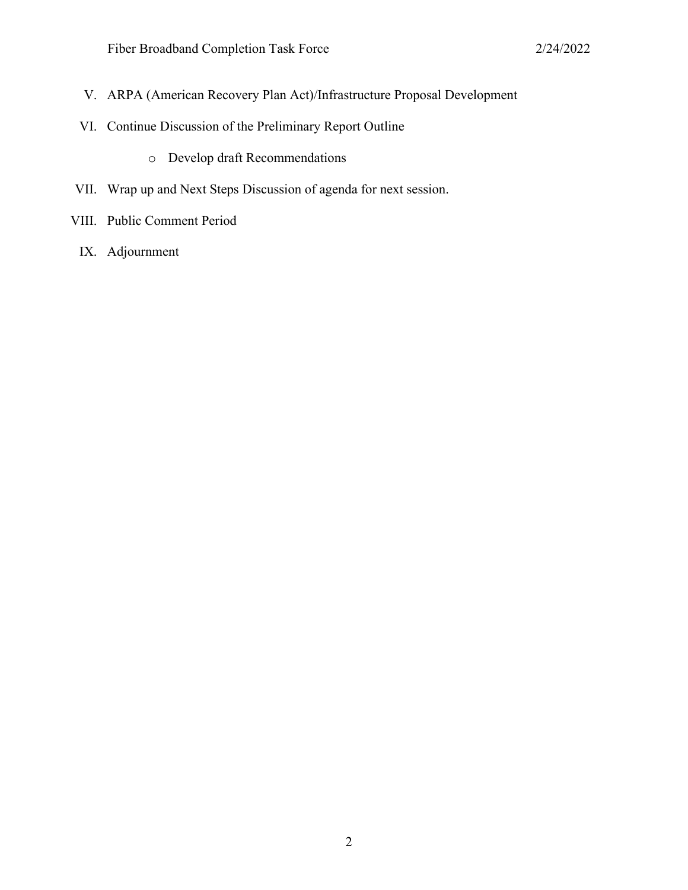- V. ARPA (American Recovery Plan Act)/Infrastructure Proposal Development
- VI. Continue Discussion of the Preliminary Report Outline
	- o Develop draft Recommendations
- VII. Wrap up and Next Steps Discussion of agenda for next session.
- VIII. Public Comment Period
	- IX. Adjournment